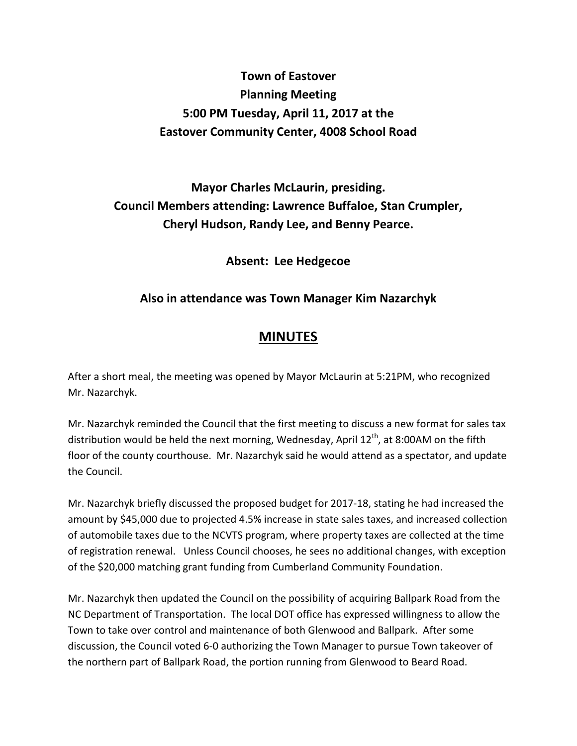## **Town of Eastover Planning Meeting 5:00 PM Tuesday, April 11, 2017 at the Eastover Community Center, 4008 School Road**

## **Mayor Charles McLaurin, presiding. Council Members attending: Lawrence Buffaloe, Stan Crumpler, Cheryl Hudson, Randy Lee, and Benny Pearce.**

**Absent: Lee Hedgecoe** 

## **Also in attendance was Town Manager Kim Nazarchyk**

## **MINUTES**

After a short meal, the meeting was opened by Mayor McLaurin at 5:21PM, who recognized Mr. Nazarchyk.

Mr. Nazarchyk reminded the Council that the first meeting to discuss a new format for sales tax distribution would be held the next morning, Wednesday, April  $12<sup>th</sup>$ , at 8:00AM on the fifth floor of the county courthouse. Mr. Nazarchyk said he would attend as a spectator, and update the Council.

Mr. Nazarchyk briefly discussed the proposed budget for 2017-18, stating he had increased the amount by \$45,000 due to projected 4.5% increase in state sales taxes, and increased collection of automobile taxes due to the NCVTS program, where property taxes are collected at the time of registration renewal. Unless Council chooses, he sees no additional changes, with exception of the \$20,000 matching grant funding from Cumberland Community Foundation.

Mr. Nazarchyk then updated the Council on the possibility of acquiring Ballpark Road from the NC Department of Transportation. The local DOT office has expressed willingness to allow the Town to take over control and maintenance of both Glenwood and Ballpark. After some discussion, the Council voted 6-0 authorizing the Town Manager to pursue Town takeover of the northern part of Ballpark Road, the portion running from Glenwood to Beard Road.